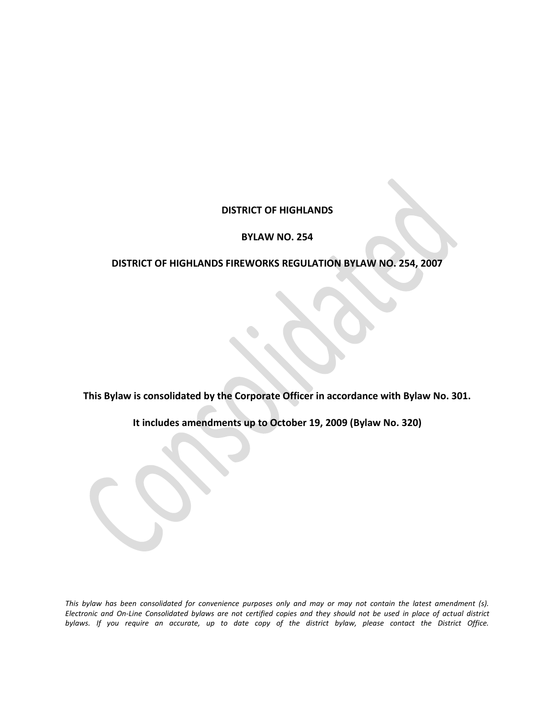# **DISTRICT OF HIGHLANDS**

#### **BYLAW NO. 254**

### **DISTRICT OF HIGHLANDS FIREWORKS REGULATION BYLAW NO. 254, 2007**

**This Bylaw is consolidated by the Corporate Officer in accordance with Bylaw No. 301.**

**It includes amendments up to October 19, 2009 (Bylaw No. 320)**

*This bylaw has been consolidated for convenience purposes only and may or may not contain the latest amendment (s). Electronic and On-Line Consolidated bylaws are not certified copies and they should not be used in place of actual district bylaws. If you require an accurate, up to date copy of the district bylaw, please contact the District Office.*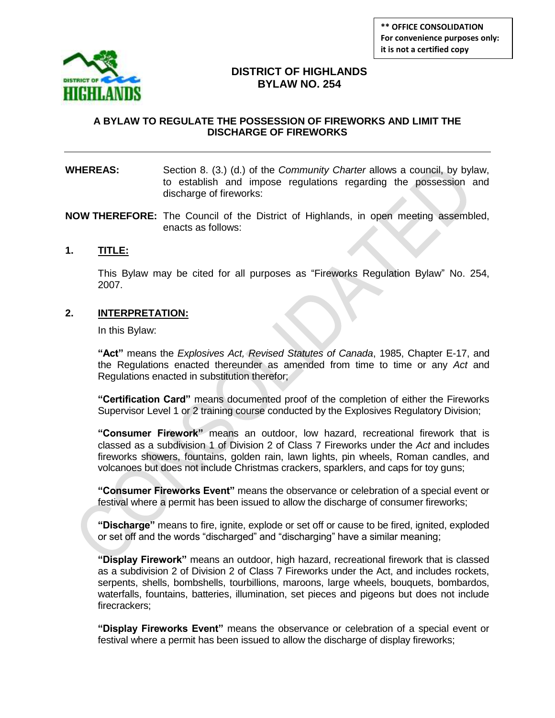

# **DISTRICT OF HIGHLANDS BYLAW NO. 254**

### **A BYLAW TO REGULATE THE POSSESSION OF FIREWORKS AND LIMIT THE DISCHARGE OF FIREWORKS**

#### **WHEREAS:** Section 8. (3.) (d.) of the *Community Charter* allows a council, by bylaw, to establish and impose regulations regarding the possession and discharge of fireworks:

**NOW THEREFORE:** The Council of the District of Highlands, in open meeting assembled, enacts as follows:

#### **1. TITLE:**

This Bylaw may be cited for all purposes as "Fireworks Regulation Bylaw" No. 254, 2007.

### **2. INTERPRETATION:**

In this Bylaw:

**"Act"** means the *Explosives Act, Revised Statutes of Canada*, 1985, Chapter E-17, and the Regulations enacted thereunder as amended from time to time or any *Act* and Regulations enacted in substitution therefor;

**"Certification Card"** means documented proof of the completion of either the Fireworks Supervisor Level 1 or 2 training course conducted by the Explosives Regulatory Division;

**"Consumer Firework"** means an outdoor, low hazard, recreational firework that is classed as a subdivision 1 of Division 2 of Class 7 Fireworks under the *Act* and includes fireworks showers, fountains, golden rain, lawn lights, pin wheels, Roman candles, and volcanoes but does not include Christmas crackers, sparklers, and caps for toy guns;

**"Consumer Fireworks Event"** means the observance or celebration of a special event or festival where a permit has been issued to allow the discharge of consumer fireworks;

**"Discharge"** means to fire, ignite, explode or set off or cause to be fired, ignited, exploded or set off and the words "discharged" and "discharging" have a similar meaning;

**"Display Firework"** means an outdoor, high hazard, recreational firework that is classed as a subdivision 2 of Division 2 of Class 7 Fireworks under the Act, and includes rockets, serpents, shells, bombshells, tourbillions, maroons, large wheels, bouquets, bombardos, waterfalls, fountains, batteries, illumination, set pieces and pigeons but does not include firecrackers;

**"Display Fireworks Event"** means the observance or celebration of a special event or festival where a permit has been issued to allow the discharge of display fireworks;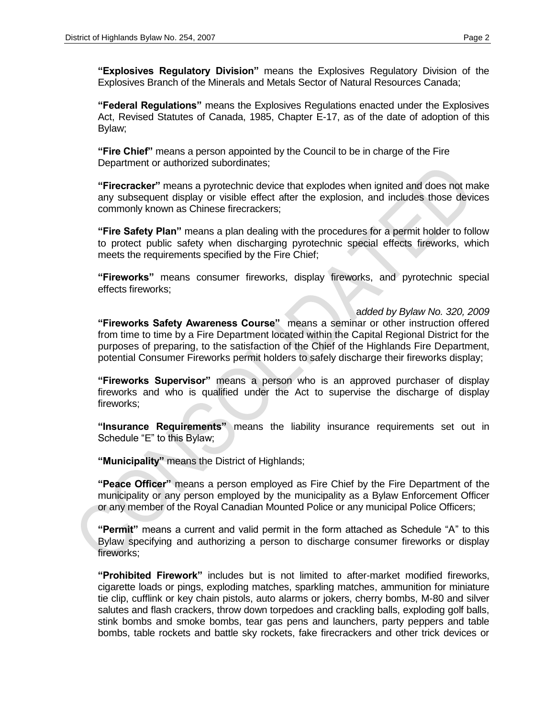**"Explosives Regulatory Division"** means the Explosives Regulatory Division of the Explosives Branch of the Minerals and Metals Sector of Natural Resources Canada;

**"Federal Regulations"** means the Explosives Regulations enacted under the Explosives Act, Revised Statutes of Canada, 1985, Chapter E-17, as of the date of adoption of this Bylaw;

**"Fire Chief"** means a person appointed by the Council to be in charge of the Fire Department or authorized subordinates;

**"Firecracker"** means a pyrotechnic device that explodes when ignited and does not make any subsequent display or visible effect after the explosion, and includes those devices commonly known as Chinese firecrackers;

**"Fire Safety Plan"** means a plan dealing with the procedures for a permit holder to follow to protect public safety when discharging pyrotechnic special effects fireworks, which meets the requirements specified by the Fire Chief;

**"Fireworks"** means consumer fireworks, display fireworks, and pyrotechnic special effects fireworks;

a*dded by Bylaw No. 320, 2009* **"Fireworks Safety Awareness Course"** means a seminar or other instruction offered from time to time by a Fire Department located within the Capital Regional District for the purposes of preparing, to the satisfaction of the Chief of the Highlands Fire Department, potential Consumer Fireworks permit holders to safely discharge their fireworks display;

**"Fireworks Supervisor"** means a person who is an approved purchaser of display fireworks and who is qualified under the Act to supervise the discharge of display fireworks;

**"Insurance Requirements"** means the liability insurance requirements set out in Schedule "E" to this Bylaw;

**"Municipality"** means the District of Highlands;

**"Peace Officer"** means a person employed as Fire Chief by the Fire Department of the municipality or any person employed by the municipality as a Bylaw Enforcement Officer or any member of the Royal Canadian Mounted Police or any municipal Police Officers;

**"Permit"** means a current and valid permit in the form attached as Schedule "A" to this Bylaw specifying and authorizing a person to discharge consumer fireworks or display fireworks;

**"Prohibited Firework"** includes but is not limited to after-market modified fireworks, cigarette loads or pings, exploding matches, sparkling matches, ammunition for miniature tie clip, cufflink or key chain pistols, auto alarms or jokers, cherry bombs, M-80 and silver salutes and flash crackers, throw down torpedoes and crackling balls, exploding golf balls, stink bombs and smoke bombs, tear gas pens and launchers, party peppers and table bombs, table rockets and battle sky rockets, fake firecrackers and other trick devices or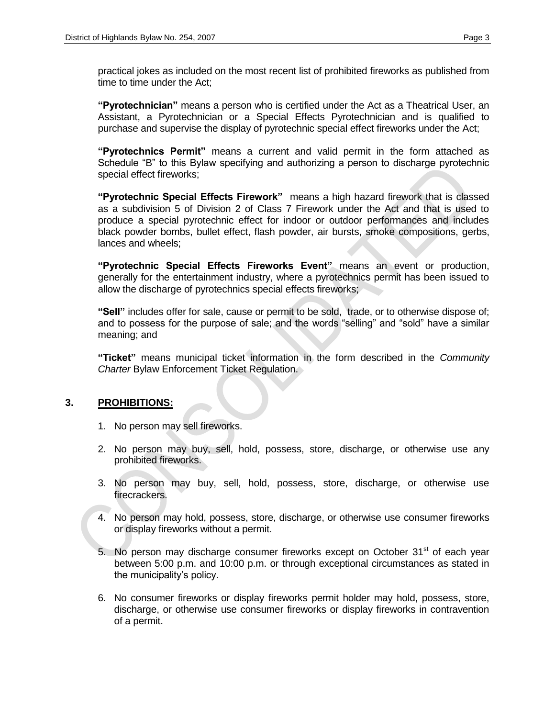practical jokes as included on the most recent list of prohibited fireworks as published from time to time under the Act;

**"Pyrotechnician"** means a person who is certified under the Act as a Theatrical User, an Assistant, a Pyrotechnician or a Special Effects Pyrotechnician and is qualified to purchase and supervise the display of pyrotechnic special effect fireworks under the Act;

**"Pyrotechnics Permit"** means a current and valid permit in the form attached as Schedule "B" to this Bylaw specifying and authorizing a person to discharge pyrotechnic special effect fireworks;

**"Pyrotechnic Special Effects Firework"** means a high hazard firework that is classed as a subdivision 5 of Division 2 of Class 7 Firework under the Act and that is used to produce a special pyrotechnic effect for indoor or outdoor performances and includes black powder bombs, bullet effect, flash powder, air bursts, smoke compositions, gerbs, lances and wheels;

**"Pyrotechnic Special Effects Fireworks Event"** means an event or production, generally for the entertainment industry, where a pyrotechnics permit has been issued to allow the discharge of pyrotechnics special effects fireworks;

**"Sell"** includes offer for sale, cause or permit to be sold, trade, or to otherwise dispose of; and to possess for the purpose of sale; and the words "selling" and "sold" have a similar meaning; and

**"Ticket"** means municipal ticket information in the form described in the *Community*  **Charter Bylaw Enforcement Ticket Regulation.** 

### **3. PROHIBITIONS:**

- 1. No person may sell fireworks.
- 2. No person may buy, sell, hold, possess, store, discharge, or otherwise use any prohibited fireworks.
- 3. No person may buy, sell, hold, possess, store, discharge, or otherwise use firecrackers.
- 4. No person may hold, possess, store, discharge, or otherwise use consumer fireworks or display fireworks without a permit.
- 5. No person may discharge consumer fireworks except on October  $31<sup>st</sup>$  of each year between 5:00 p.m. and 10:00 p.m. or through exceptional circumstances as stated in the municipality's policy.
- 6. No consumer fireworks or display fireworks permit holder may hold, possess, store, discharge, or otherwise use consumer fireworks or display fireworks in contravention of a permit.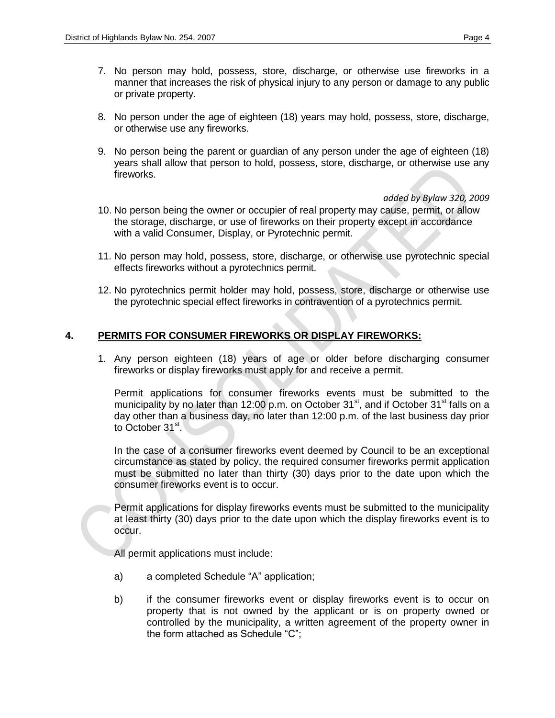- 7. No person may hold, possess, store, discharge, or otherwise use fireworks in a manner that increases the risk of physical injury to any person or damage to any public or private property.
- 8. No person under the age of eighteen (18) years may hold, possess, store, discharge, or otherwise use any fireworks.
- 9. No person being the parent or guardian of any person under the age of eighteen (18) years shall allow that person to hold, possess, store, discharge, or otherwise use any fireworks.

*added by Bylaw 320, 2009*

- 10. No person being the owner or occupier of real property may cause, permit, or allow the storage, discharge, or use of fireworks on their property except in accordance with a valid Consumer, Display, or Pyrotechnic permit.
- 11. No person may hold, possess, store, discharge, or otherwise use pyrotechnic special effects fireworks without a pyrotechnics permit.
- 12. No pyrotechnics permit holder may hold, possess, store, discharge or otherwise use the pyrotechnic special effect fireworks in contravention of a pyrotechnics permit.

### **4. PERMITS FOR CONSUMER FIREWORKS OR DISPLAY FIREWORKS:**

1. Any person eighteen (18) years of age or older before discharging consumer fireworks or display fireworks must apply for and receive a permit.

Permit applications for consumer fireworks events must be submitted to the municipality by no later than 12:00 p.m. on October 31 $^{\rm st}$ , and if October 31 $^{\rm st}$  falls on a day other than a business day, no later than 12:00 p.m. of the last business day prior to October 31<sup>st</sup>.

In the case of a consumer fireworks event deemed by Council to be an exceptional circumstance as stated by policy, the required consumer fireworks permit application must be submitted no later than thirty (30) days prior to the date upon which the consumer fireworks event is to occur.

Permit applications for display fireworks events must be submitted to the municipality at least thirty (30) days prior to the date upon which the display fireworks event is to occur.

All permit applications must include:

- a) a completed Schedule "A" application;
- b) if the consumer fireworks event or display fireworks event is to occur on property that is not owned by the applicant or is on property owned or controlled by the municipality, a written agreement of the property owner in the form attached as Schedule "C";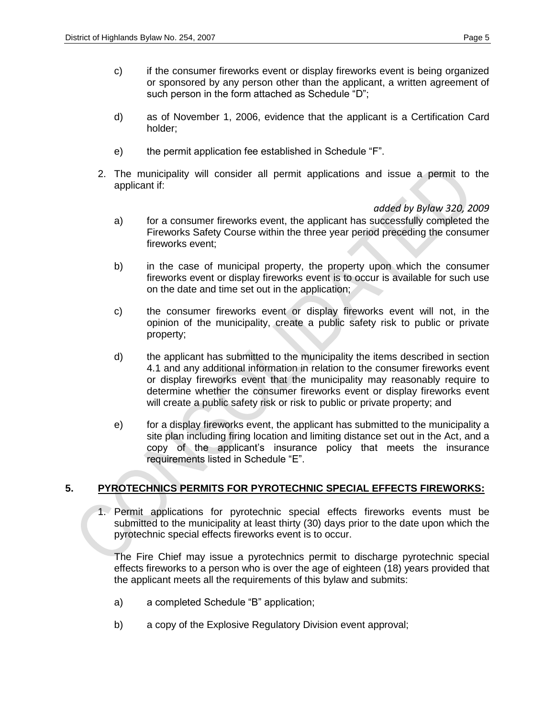- c) if the consumer fireworks event or display fireworks event is being organized or sponsored by any person other than the applicant, a written agreement of such person in the form attached as Schedule "D";
- d) as of November 1, 2006, evidence that the applicant is a Certification Card holder;
- e) the permit application fee established in Schedule "F".
- 2. The municipality will consider all permit applications and issue a permit to the applicant if:

#### *added by Bylaw 320, 2009*

- a) for a consumer fireworks event, the applicant has successfully completed the Fireworks Safety Course within the three year period preceding the consumer fireworks event;
- b) in the case of municipal property, the property upon which the consumer fireworks event or display fireworks event is to occur is available for such use on the date and time set out in the application;
- c) the consumer fireworks event or display fireworks event will not, in the opinion of the municipality, create a public safety risk to public or private property;
- d) the applicant has submitted to the municipality the items described in section 4.1 and any additional information in relation to the consumer fireworks event or display fireworks event that the municipality may reasonably require to determine whether the consumer fireworks event or display fireworks event will create a public safety risk or risk to public or private property; and
- e) for a display fireworks event, the applicant has submitted to the municipality a site plan including firing location and limiting distance set out in the Act, and a copy of the applicant"s insurance policy that meets the insurance requirements listed in Schedule "E".

### **5. PYROTECHNICS PERMITS FOR PYROTECHNIC SPECIAL EFFECTS FIREWORKS:**

1. Permit applications for pyrotechnic special effects fireworks events must be submitted to the municipality at least thirty (30) days prior to the date upon which the pyrotechnic special effects fireworks event is to occur.

The Fire Chief may issue a pyrotechnics permit to discharge pyrotechnic special effects fireworks to a person who is over the age of eighteen (18) years provided that the applicant meets all the requirements of this bylaw and submits:

- a) a completed Schedule "B" application;
- b) a copy of the Explosive Regulatory Division event approval;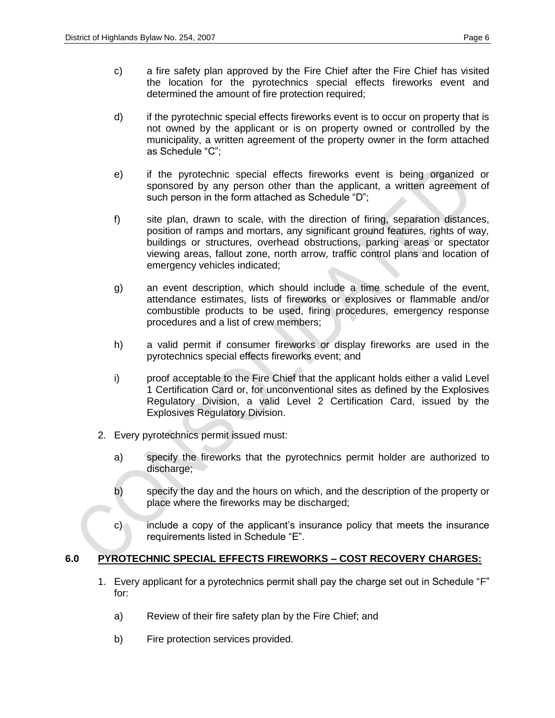- c) a fire safety plan approved by the Fire Chief after the Fire Chief has visited the location for the pyrotechnics special effects fireworks event and determined the amount of fire protection required;
- d) if the pyrotechnic special effects fireworks event is to occur on property that is not owned by the applicant or is on property owned or controlled by the municipality, a written agreement of the property owner in the form attached as Schedule "C";
- e) if the pyrotechnic special effects fireworks event is being organized or sponsored by any person other than the applicant, a written agreement of such person in the form attached as Schedule "D";
- f) site plan, drawn to scale, with the direction of firing, separation distances, position of ramps and mortars, any significant ground features, rights of way, buildings or structures, overhead obstructions, parking areas or spectator viewing areas, fallout zone, north arrow, traffic control plans and location of emergency vehicles indicated;
- g) an event description, which should include a time schedule of the event, attendance estimates, lists of fireworks or explosives or flammable and/or combustible products to be used, firing procedures, emergency response procedures and a list of crew members;
- h) a valid permit if consumer fireworks or display fireworks are used in the pyrotechnics special effects fireworks event; and
- i) proof acceptable to the Fire Chief that the applicant holds either a valid Level 1 Certification Card or, for unconventional sites as defined by the Explosives Regulatory Division, a valid Level 2 Certification Card, issued by the Explosives Regulatory Division.
- 2. Every pyrotechnics permit issued must:
	- a) specify the fireworks that the pyrotechnics permit holder are authorized to discharge;
	- b) specify the day and the hours on which, and the description of the property or place where the fireworks may be discharged;
	- c) include a copy of the applicant"s insurance policy that meets the insurance requirements listed in Schedule "E".

# **6.0 PYROTECHNIC SPECIAL EFFECTS FIREWORKS – COST RECOVERY CHARGES:**

- 1. Every applicant for a pyrotechnics permit shall pay the charge set out in Schedule "F" for:
	- a) Review of their fire safety plan by the Fire Chief; and
	- b) Fire protection services provided.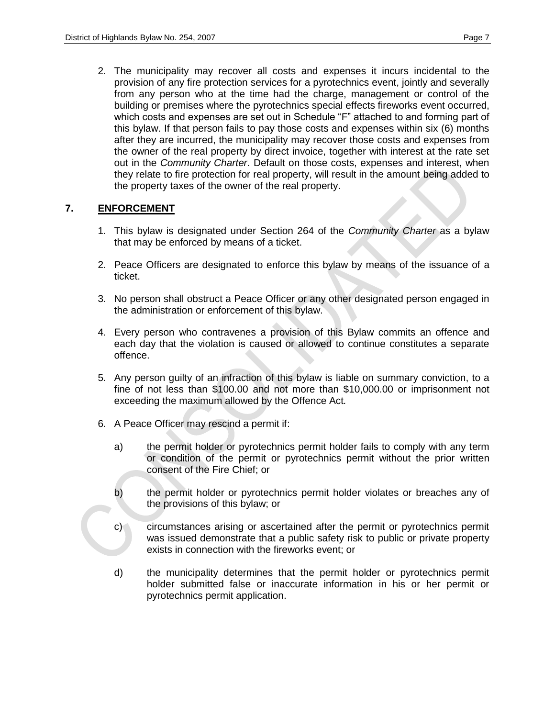2. The municipality may recover all costs and expenses it incurs incidental to the provision of any fire protection services for a pyrotechnics event, jointly and severally from any person who at the time had the charge, management or control of the building or premises where the pyrotechnics special effects fireworks event occurred, which costs and expenses are set out in Schedule "F" attached to and forming part of this bylaw. If that person fails to pay those costs and expenses within six (6) months after they are incurred, the municipality may recover those costs and expenses from the owner of the real property by direct invoice, together with interest at the rate set out in the *Community Charter*. Default on those costs, expenses and interest, when they relate to fire protection for real property, will result in the amount being added to the property taxes of the owner of the real property.

### **7. ENFORCEMENT**

- 1. This bylaw is designated under Section 264 of the *Community Charter* as a bylaw that may be enforced by means of a ticket.
- 2. Peace Officers are designated to enforce this bylaw by means of the issuance of a ticket.
- 3. No person shall obstruct a Peace Officer or any other designated person engaged in the administration or enforcement of this bylaw.
- 4. Every person who contravenes a provision of this Bylaw commits an offence and each day that the violation is caused or allowed to continue constitutes a separate offence.
- 5. Any person guilty of an infraction of this bylaw is liable on summary conviction, to a fine of not less than \$100.00 and not more than \$10,000.00 or imprisonment not exceeding the maximum allowed by the Offence Act*.*
- 6. A Peace Officer may rescind a permit if:
	- a) the permit holder or pyrotechnics permit holder fails to comply with any term or condition of the permit or pyrotechnics permit without the prior written consent of the Fire Chief; or
	- b) the permit holder or pyrotechnics permit holder violates or breaches any of the provisions of this bylaw; or
	- c) circumstances arising or ascertained after the permit or pyrotechnics permit was issued demonstrate that a public safety risk to public or private property exists in connection with the fireworks event; or
	- d) the municipality determines that the permit holder or pyrotechnics permit holder submitted false or inaccurate information in his or her permit or pyrotechnics permit application.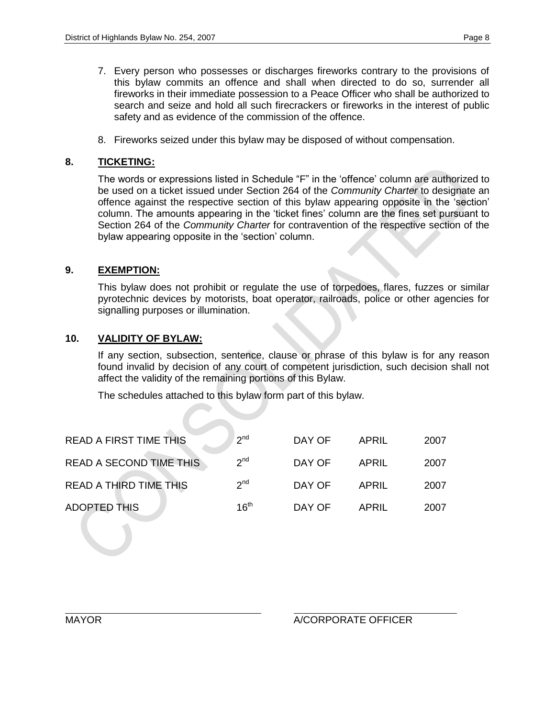- 7. Every person who possesses or discharges fireworks contrary to the provisions of this bylaw commits an offence and shall when directed to do so, surrender all fireworks in their immediate possession to a Peace Officer who shall be authorized to search and seize and hold all such firecrackers or fireworks in the interest of public safety and as evidence of the commission of the offence.
- 8. Fireworks seized under this bylaw may be disposed of without compensation.

# **8. TICKETING:**

The words or expressions listed in Schedule "F" in the "offence" column are authorized to be used on a ticket issued under Section 264 of the *Community Charter* to designate an offence against the respective section of this bylaw appearing opposite in the "section" column. The amounts appearing in the "ticket fines" column are the fines set pursuant to Section 264 of the *Community Charter* for contravention of the respective section of the bylaw appearing opposite in the "section" column.

# **9. EXEMPTION:**

This bylaw does not prohibit or regulate the use of torpedoes, flares, fuzzes or similar pyrotechnic devices by motorists, boat operator, railroads, police or other agencies for signalling purposes or illumination.

# **10. VALIDITY OF BYLAW:**

If any section, subsection, sentence, clause or phrase of this bylaw is for any reason found invalid by decision of any court of competent jurisdiction, such decision shall not affect the validity of the remaining portions of this Bylaw.

The schedules attached to this bylaw form part of this bylaw.

| <b>READ A FIRST TIME THIS</b>  | 2 <sup>nd</sup>  | DAY OF | APRIL | 2007 |
|--------------------------------|------------------|--------|-------|------|
| <b>READ A SECOND TIME THIS</b> | 2 <sup>nd</sup>  | DAY OF | APRIL | 2007 |
| <b>READ A THIRD TIME THIS</b>  | 2 <sup>nd</sup>  | DAY OF | APRIL | 2007 |
| <b>ADOPTED THIS</b>            | 16 <sup>th</sup> | DAY OF | APRIL | 2007 |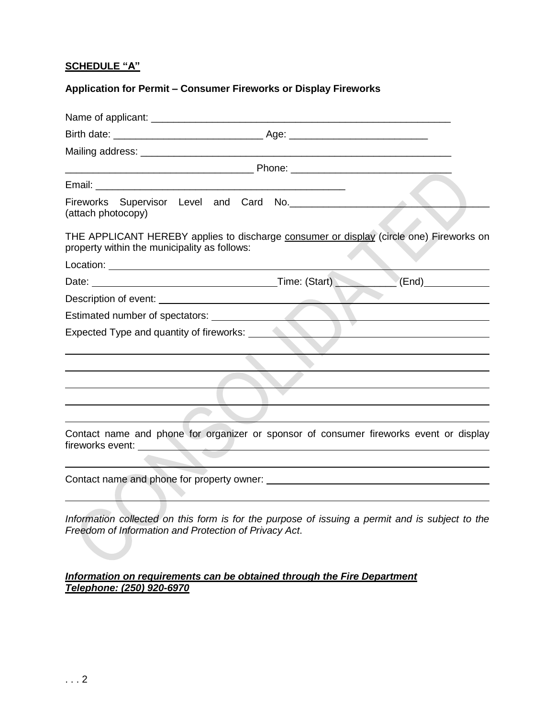# **SCHEDULE "A"**

# **Application for Permit – Consumer Fireworks or Display Fireworks**

| Fireworks Supervisor Level and Card No. 2008. The Card Supervisor Card St.<br>(attach photocopy)                                                                                                                                                                                                                               |  |
|--------------------------------------------------------------------------------------------------------------------------------------------------------------------------------------------------------------------------------------------------------------------------------------------------------------------------------|--|
| THE APPLICANT HEREBY applies to discharge consumer or display (circle one) Fireworks on<br>property within the municipality as follows:                                                                                                                                                                                        |  |
|                                                                                                                                                                                                                                                                                                                                |  |
|                                                                                                                                                                                                                                                                                                                                |  |
|                                                                                                                                                                                                                                                                                                                                |  |
|                                                                                                                                                                                                                                                                                                                                |  |
|                                                                                                                                                                                                                                                                                                                                |  |
|                                                                                                                                                                                                                                                                                                                                |  |
|                                                                                                                                                                                                                                                                                                                                |  |
|                                                                                                                                                                                                                                                                                                                                |  |
|                                                                                                                                                                                                                                                                                                                                |  |
|                                                                                                                                                                                                                                                                                                                                |  |
| Contact name and phone for organizer or sponsor of consumer fireworks event or display<br>fireworks event: <b>All and the contract of the contract of the contract of the contract of the contract of the contract of the contract of the contract of the contract of the contract of the contract of the contract of the </b> |  |
|                                                                                                                                                                                                                                                                                                                                |  |
| Information collected on this form is for the purpose of issuing a permit and is subject to the<br>Freedom of Information and Protection of Privacy Act.                                                                                                                                                                       |  |

# *Information on requirements can be obtained through the Fire Department Telephone: (250) 920-6970*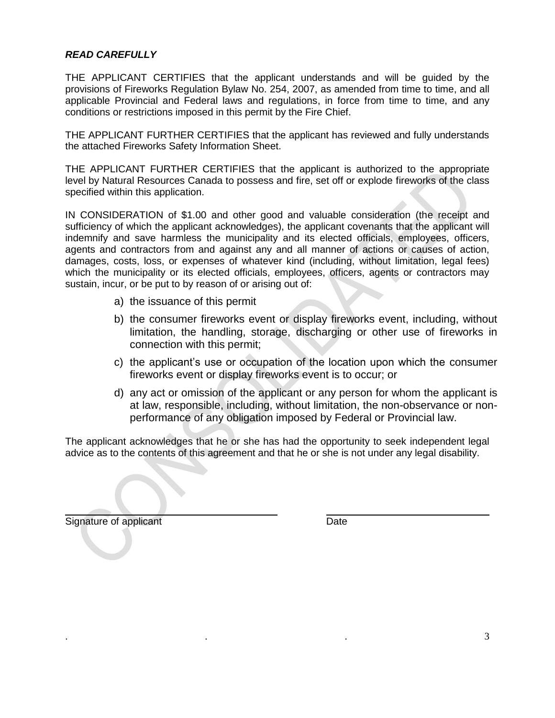### *READ CAREFULLY*

THE APPLICANT CERTIFIES that the applicant understands and will be guided by the provisions of Fireworks Regulation Bylaw No. 254, 2007, as amended from time to time, and all applicable Provincial and Federal laws and regulations, in force from time to time, and any conditions or restrictions imposed in this permit by the Fire Chief.

THE APPLICANT FURTHER CERTIFIES that the applicant has reviewed and fully understands the attached Fireworks Safety Information Sheet.

THE APPLICANT FURTHER CERTIFIES that the applicant is authorized to the appropriate level by Natural Resources Canada to possess and fire, set off or explode fireworks of the class specified within this application.

IN CONSIDERATION of \$1.00 and other good and valuable consideration (the receipt and sufficiency of which the applicant acknowledges), the applicant covenants that the applicant will indemnify and save harmless the municipality and its elected officials, employees, officers, agents and contractors from and against any and all manner of actions or causes of action, damages, costs, loss, or expenses of whatever kind (including, without limitation, legal fees) which the municipality or its elected officials, employees, officers, agents or contractors may sustain, incur, or be put to by reason of or arising out of:

- a) the issuance of this permit
- b) the consumer fireworks event or display fireworks event, including, without limitation, the handling, storage, discharging or other use of fireworks in connection with this permit;
- c) the applicant"s use or occupation of the location upon which the consumer fireworks event or display fireworks event is to occur; or
- d) any act or omission of the applicant or any person for whom the applicant is at law, responsible, including, without limitation, the non-observance or nonperformance of any obligation imposed by Federal or Provincial law.

The applicant acknowledges that he or she has had the opportunity to seek independent legal advice as to the contents of this agreement and that he or she is not under any legal disability.

Signature of applicant Date Date Date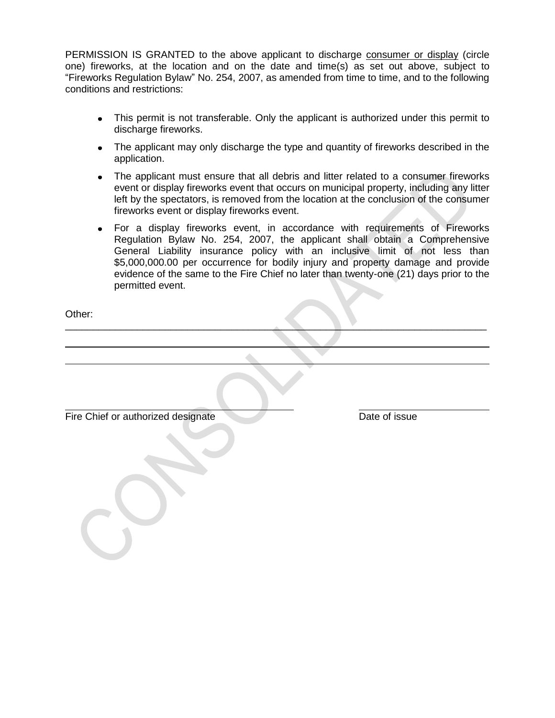PERMISSION IS GRANTED to the above applicant to discharge consumer or display (circle one) fireworks, at the location and on the date and time(s) as set out above, subject to "Fireworks Regulation Bylaw" No. 254, 2007, as amended from time to time, and to the following conditions and restrictions:

- This permit is not transferable. Only the applicant is authorized under this permit to discharge fireworks.
- The applicant may only discharge the type and quantity of fireworks described in the application.
- The applicant must ensure that all debris and litter related to a consumer fireworks event or display fireworks event that occurs on municipal property, including any litter left by the spectators, is removed from the location at the conclusion of the consumer fireworks event or display fireworks event.
- For a display fireworks event, in accordance with requirements of Fireworks Regulation Bylaw No. 254, 2007, the applicant shall obtain a Comprehensive General Liability insurance policy with an inclusive limit of not less than \$5,000,000.00 per occurrence for bodily injury and property damage and provide evidence of the same to the Fire Chief no later than twenty-one (21) days prior to the permitted event.

\_\_\_\_\_\_\_\_\_\_\_\_\_\_\_\_\_\_\_\_\_\_\_\_\_\_\_\_\_\_\_\_\_\_\_\_\_\_\_\_\_\_\_\_\_\_\_\_\_\_\_\_\_\_\_\_\_\_\_\_\_\_\_\_\_\_\_\_\_\_\_\_\_\_\_\_

Other:

Fire Chief or authorized designate Date of issue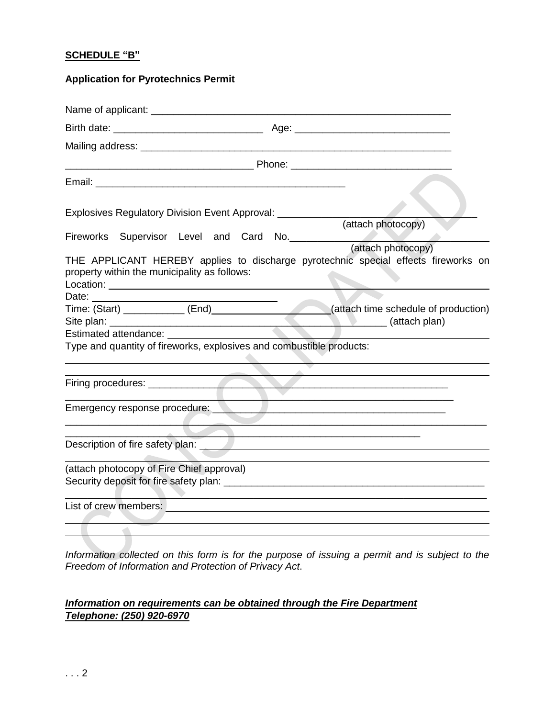### **SCHEDULE "B"**

# **Application for Pyrotechnics Permit**

| Explosives Regulatory Division Event Approval: ____________                                                                                                                   |  |  |                                                                                                                      |                    |  |
|-------------------------------------------------------------------------------------------------------------------------------------------------------------------------------|--|--|----------------------------------------------------------------------------------------------------------------------|--------------------|--|
|                                                                                                                                                                               |  |  |                                                                                                                      | (attach photocopy) |  |
| Fireworks Supervisor Level and Card No.<br>THE APPLICANT HEREBY applies to discharge pyrotechnic special effects fireworks on<br>property within the municipality as follows: |  |  |                                                                                                                      | (attach photocopy) |  |
|                                                                                                                                                                               |  |  |                                                                                                                      |                    |  |
| Date: <u>Time:</u> (Start) ___________ (End)______________________(attach time schedule of production)<br>Estimated attendance: Estimated attendance:                         |  |  |                                                                                                                      |                    |  |
| Type and quantity of fireworks, explosives and combustible products:                                                                                                          |  |  |                                                                                                                      |                    |  |
|                                                                                                                                                                               |  |  |                                                                                                                      |                    |  |
| Emergency response procedure:                                                                                                                                                 |  |  |                                                                                                                      |                    |  |
|                                                                                                                                                                               |  |  |                                                                                                                      |                    |  |
| (attach photocopy of Fire Chief approval)                                                                                                                                     |  |  |                                                                                                                      |                    |  |
|                                                                                                                                                                               |  |  |                                                                                                                      |                    |  |
| List of crew members:                                                                                                                                                         |  |  | <u> 1980 - Jan James Santan, martxa amerikan dan berkenal dan berkenal dan berkenal dan berkenal dan berkenal da</u> |                    |  |
|                                                                                                                                                                               |  |  |                                                                                                                      |                    |  |

Information collected on this form is for the purpose of issuing a permit and is subject to the *Freedom of Information and Protection of Privacy Act*.

# *Information on requirements can be obtained through the Fire Department Telephone: (250) 920-6970*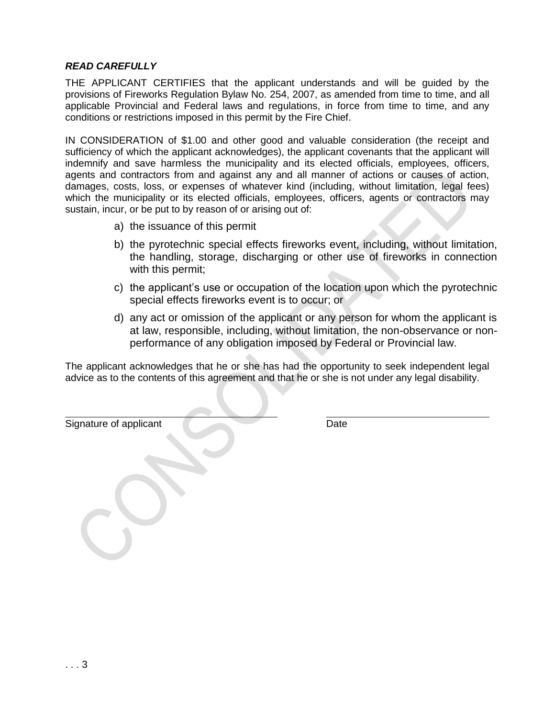### *READ CAREFULLY*

THE APPLICANT CERTIFIES that the applicant understands and will be guided by the provisions of Fireworks Regulation Bylaw No. 254, 2007, as amended from time to time, and all applicable Provincial and Federal laws and regulations, in force from time to time, and any conditions or restrictions imposed in this permit by the Fire Chief.

IN CONSIDERATION of \$1.00 and other good and valuable consideration (the receipt and sufficiency of which the applicant acknowledges), the applicant covenants that the applicant will indemnify and save harmless the municipality and its elected officials, employees, officers, agents and contractors from and against any and all manner of actions or causes of action, damages, costs, loss, or expenses of whatever kind (including, without limitation, legal fees) which the municipality or its elected officials, employees, officers, agents or contractors may sustain, incur, or be put to by reason of or arising out of:

- a) the issuance of this permit
- b) the pyrotechnic special effects fireworks event, including, without limitation, the handling, storage, discharging or other use of fireworks in connection with this permit;
- c) the applicant"s use or occupation of the location upon which the pyrotechnic special effects fireworks event is to occur; or
- d) any act or omission of the applicant or any person for whom the applicant is at law, responsible, including, without limitation, the non-observance or nonperformance of any obligation imposed by Federal or Provincial law.

The applicant acknowledges that he or she has had the opportunity to seek independent legal advice as to the contents of this agreement and that he or she is not under any legal disability.

Signature of applicant Date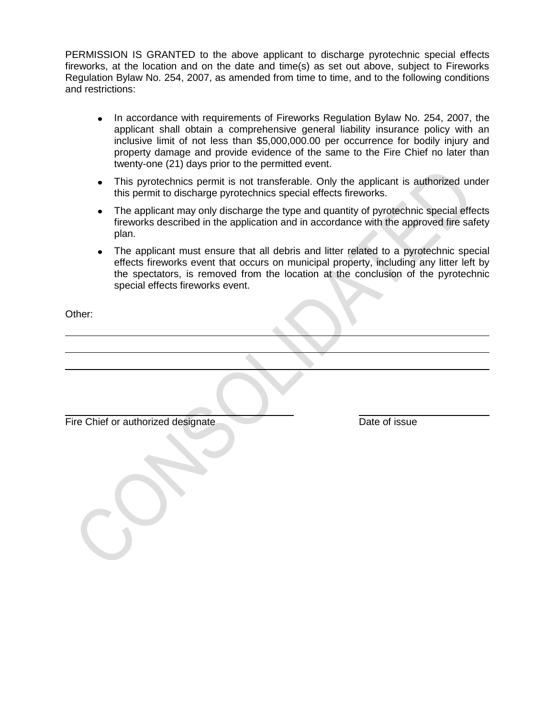PERMISSION IS GRANTED to the above applicant to discharge pyrotechnic special effects fireworks, at the location and on the date and time(s) as set out above, subject to Fireworks Regulation Bylaw No. 254, 2007, as amended from time to time, and to the following conditions and restrictions:

- In accordance with requirements of Fireworks Regulation Bylaw No. 254, 2007, the applicant shall obtain a comprehensive general liability insurance policy with an inclusive limit of not less than \$5,000,000.00 per occurrence for bodily injury and property damage and provide evidence of the same to the Fire Chief no later than twenty-one (21) days prior to the permitted event.
- This pyrotechnics permit is not transferable. Only the applicant is authorized under this permit to discharge pyrotechnics special effects fireworks.
- The applicant may only discharge the type and quantity of pyrotechnic special effects fireworks described in the application and in accordance with the approved fire safety plan.
- The applicant must ensure that all debris and litter related to a pyrotechnic special effects fireworks event that occurs on municipal property, including any litter left by the spectators, is removed from the location at the conclusion of the pyrotechnic special effects fireworks event.

Other:

Fire Chief or authorized designate Date of issue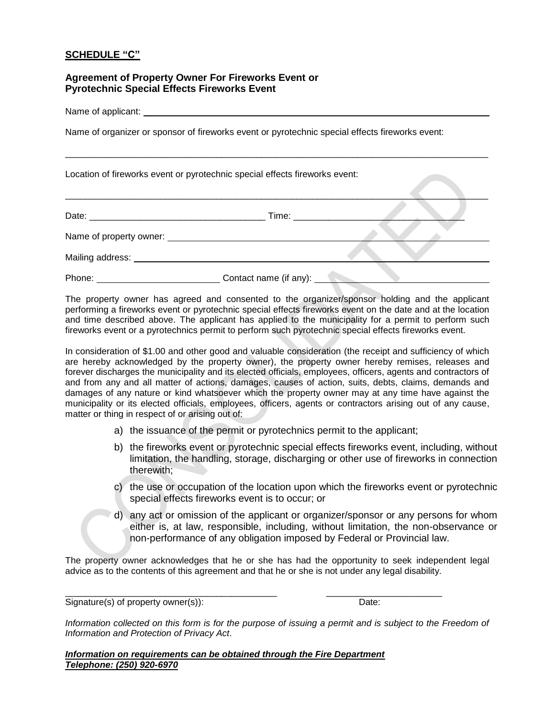### **SCHEDULE "C"**

#### **Agreement of Property Owner For Fireworks Event or Pyrotechnic Special Effects Fireworks Event**

Name of applicant:

Name of organizer or sponsor of fireworks event or pyrotechnic special effects fireworks event:

Location of fireworks event or pyrotechnic special effects fireworks event:

| Date:                           | Time: when the contract of the contract of the contract of the contract of the contract of the contract of the |  |
|---------------------------------|----------------------------------------------------------------------------------------------------------------|--|
|                                 |                                                                                                                |  |
| Mailing address: Value of Anti- |                                                                                                                |  |
| Phone:                          | Contact name (if any):                                                                                         |  |

\_\_\_\_\_\_\_\_\_\_\_\_\_\_\_\_\_\_\_\_\_\_\_\_\_\_\_\_\_\_\_\_\_\_\_\_\_\_\_\_\_\_\_\_\_\_\_\_\_\_\_\_\_\_\_\_\_\_\_\_\_\_\_\_\_\_\_\_\_\_\_\_\_\_\_\_\_\_\_\_\_\_\_\_

\_\_\_\_\_\_\_\_\_\_\_\_\_\_\_\_\_\_\_\_\_\_\_\_\_\_\_\_\_\_\_\_\_\_\_\_\_\_\_\_\_\_\_\_\_\_\_\_\_\_\_\_\_\_\_\_\_\_\_\_\_\_\_\_\_\_\_\_\_\_\_\_\_\_\_\_\_\_\_\_\_\_\_\_

The property owner has agreed and consented to the organizer/sponsor holding and the applicant performing a fireworks event or pyrotechnic special effects fireworks event on the date and at the location and time described above. The applicant has applied to the municipality for a permit to perform such fireworks event or a pyrotechnics permit to perform such pyrotechnic special effects fireworks event.

In consideration of \$1.00 and other good and valuable consideration (the receipt and sufficiency of which are hereby acknowledged by the property owner), the property owner hereby remises, releases and forever discharges the municipality and its elected officials, employees, officers, agents and contractors of and from any and all matter of actions, damages, causes of action, suits, debts, claims, demands and damages of any nature or kind whatsoever which the property owner may at any time have against the municipality or its elected officials, employees, officers, agents or contractors arising out of any cause, matter or thing in respect of or arising out of:

- a) the issuance of the permit or pyrotechnics permit to the applicant;
- b) the fireworks event or pyrotechnic special effects fireworks event, including, without limitation, the handling, storage, discharging or other use of fireworks in connection therewith;
- c) the use or occupation of the location upon which the fireworks event or pyrotechnic special effects fireworks event is to occur; or
- d) any act or omission of the applicant or organizer/sponsor or any persons for whom either is, at law, responsible, including, without limitation, the non-observance or non-performance of any obligation imposed by Federal or Provincial law.

The property owner acknowledges that he or she has had the opportunity to seek independent legal advice as to the contents of this agreement and that he or she is not under any legal disability.

\_\_\_\_\_\_\_\_\_\_\_\_\_\_\_\_\_\_\_\_\_\_\_\_\_\_\_\_\_\_\_\_\_\_\_\_\_\_\_\_\_\_ \_\_\_\_\_\_\_\_\_\_\_\_\_\_\_\_\_\_\_\_\_\_\_

Signature(s) of property owner(s)): Date:

*Information collected on this form is for the purpose of issuing a permit and is subject to the Freedom of Information and Protection of Privacy Act*.

*Information on requirements can be obtained through the Fire Department Telephone: (250) 920-6970*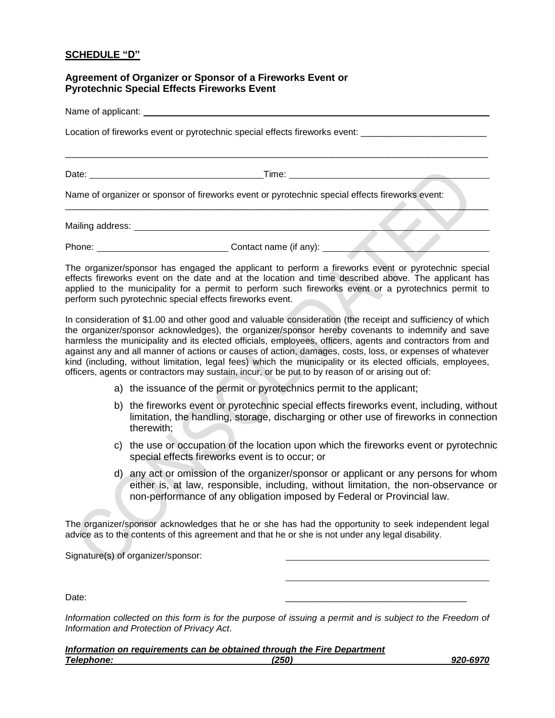#### **SCHEDULE "D"**

#### **Agreement of Organizer or Sponsor of a Fireworks Event or Pyrotechnic Special Effects Fireworks Event**

Name of applicant: \_\_\_\_\_

Location of fireworks event or pyrotechnic special effects fireworks event:

Date: Time: Time: The Solution of the Solution of Time: Time: Time: Time: Time: Time: Time: Time: Time: Time: Time: Time: Time: Time: Time: Time: Time: Time: Time: Time: Time: Time: Time: Time: Time: Time: Time: Time: Time

\_\_\_\_\_\_\_\_\_\_\_\_\_\_\_\_\_\_\_\_\_\_\_\_\_\_\_\_\_\_\_\_\_\_\_\_\_\_\_\_\_\_\_\_\_\_\_\_\_\_\_\_\_\_\_\_\_\_\_\_\_\_\_\_\_\_\_\_\_\_\_\_\_\_\_\_\_\_\_\_\_\_\_\_

\_\_\_\_\_\_\_\_\_\_\_\_\_\_\_\_\_\_\_\_\_\_\_\_\_\_\_\_\_\_\_\_\_\_\_\_\_\_\_\_\_\_\_\_\_\_\_\_\_\_\_\_\_\_\_\_\_\_\_\_\_\_\_\_\_\_\_\_\_\_\_\_\_\_\_\_\_\_\_\_\_\_\_\_

Name of organizer or sponsor of fireworks event or pyrotechnic special effects fireworks event:

Mailing address: We have a state of the state of the state of the state of the state of the state of the state of the state of the state of the state of the state of the state of the state of the state of the state of the

Phone: Contact name (if any):

The organizer/sponsor has engaged the applicant to perform a fireworks event or pyrotechnic special effects fireworks event on the date and at the location and time described above. The applicant has applied to the municipality for a permit to perform such fireworks event or a pyrotechnics permit to perform such pyrotechnic special effects fireworks event.

In consideration of \$1.00 and other good and valuable consideration (the receipt and sufficiency of which the organizer/sponsor acknowledges), the organizer/sponsor hereby covenants to indemnify and save harmless the municipality and its elected officials, employees, officers, agents and contractors from and against any and all manner of actions or causes of action, damages, costs, loss, or expenses of whatever kind (including, without limitation, legal fees) which the municipality or its elected officials, employees, officers, agents or contractors may sustain, incur, or be put to by reason of or arising out of:

- a) the issuance of the permit or pyrotechnics permit to the applicant;
- b) the fireworks event or pyrotechnic special effects fireworks event, including, without limitation, the handling, storage, discharging or other use of fireworks in connection therewith;
- c) the use or occupation of the location upon which the fireworks event or pyrotechnic special effects fireworks event is to occur; or
- d) any act or omission of the organizer/sponsor or applicant or any persons for whom either is, at law, responsible, including, without limitation, the non-observance or non-performance of any obligation imposed by Federal or Provincial law.

The organizer/sponsor acknowledges that he or she has had the opportunity to seek independent legal advice as to the contents of this agreement and that he or she is not under any legal disability.

Signature(s) of organizer/sponsor:

Date: \_\_\_\_\_\_\_\_\_\_\_\_\_\_\_\_\_\_\_\_\_\_\_\_\_\_\_\_\_\_\_\_\_\_\_\_

*Information collected on this form is for the purpose of issuing a permit and is subject to the Freedom of Information and Protection of Privacy Act*.

|                   | Information on requirements can be obtained through the Fire Department |          |
|-------------------|-------------------------------------------------------------------------|----------|
| <b>Telephone:</b> | (250)                                                                   | 920-6970 |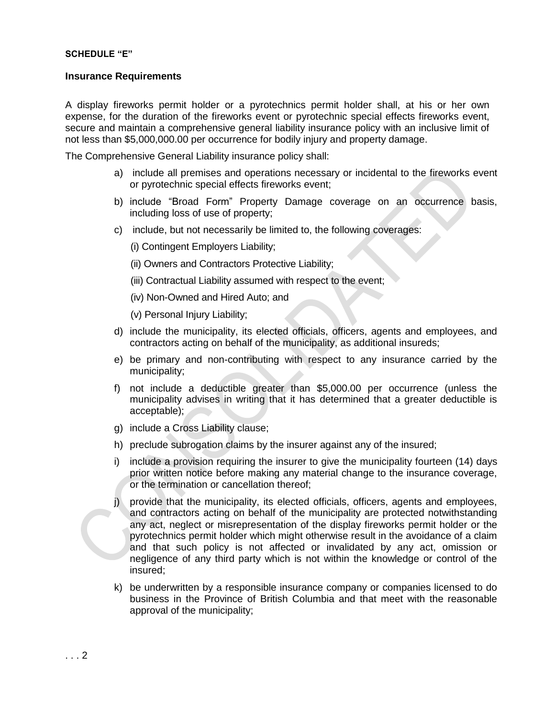#### **SCHEDULE "E"**

#### **Insurance Requirements**

A display fireworks permit holder or a pyrotechnics permit holder shall, at his or her own expense, for the duration of the fireworks event or pyrotechnic special effects fireworks event, secure and maintain a comprehensive general liability insurance policy with an inclusive limit of not less than \$5,000,000.00 per occurrence for bodily injury and property damage.

The Comprehensive General Liability insurance policy shall:

- a) include all premises and operations necessary or incidental to the fireworks event or pyrotechnic special effects fireworks event;
- b) include "Broad Form" Property Damage coverage on an occurrence basis, including loss of use of property;
- c) include, but not necessarily be limited to, the following coverages:
	- (i) Contingent Employers Liability;
	- (ii) Owners and Contractors Protective Liability;
	- (iii) Contractual Liability assumed with respect to the event;
	- (iv) Non-Owned and Hired Auto; and

(v) Personal Injury Liability;

- d) include the municipality, its elected officials, officers, agents and employees, and contractors acting on behalf of the municipality, as additional insureds;
- e) be primary and non-contributing with respect to any insurance carried by the municipality;
- f) not include a deductible greater than \$5,000.00 per occurrence (unless the municipality advises in writing that it has determined that a greater deductible is acceptable);
- g) include a Cross Liability clause;
- h) preclude subrogation claims by the insurer against any of the insured;
- i) include a provision requiring the insurer to give the municipality fourteen (14) days prior written notice before making any material change to the insurance coverage, or the termination or cancellation thereof;
- j) provide that the municipality, its elected officials, officers, agents and employees, and contractors acting on behalf of the municipality are protected notwithstanding any act, neglect or misrepresentation of the display fireworks permit holder or the pyrotechnics permit holder which might otherwise result in the avoidance of a claim and that such policy is not affected or invalidated by any act, omission or negligence of any third party which is not within the knowledge or control of the insured;
- k) be underwritten by a responsible insurance company or companies licensed to do business in the Province of British Columbia and that meet with the reasonable approval of the municipality;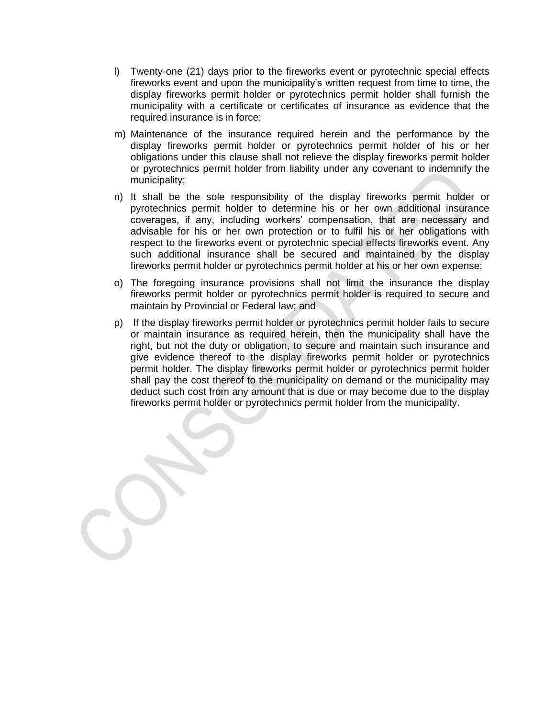- l) Twenty-one (21) days prior to the fireworks event or pyrotechnic special effects fireworks event and upon the municipality"s written request from time to time, the display fireworks permit holder or pyrotechnics permit holder shall furnish the municipality with a certificate or certificates of insurance as evidence that the required insurance is in force;
- m) Maintenance of the insurance required herein and the performance by the display fireworks permit holder or pyrotechnics permit holder of his or her obligations under this clause shall not relieve the display fireworks permit holder or pyrotechnics permit holder from liability under any covenant to indemnify the municipality;
- n) It shall be the sole responsibility of the display fireworks permit holder or pyrotechnics permit holder to determine his or her own additional insurance coverages, if any, including workers' compensation, that are necessary and advisable for his or her own protection or to fulfil his or her obligations with respect to the fireworks event or pyrotechnic special effects fireworks event. Any such additional insurance shall be secured and maintained by the display fireworks permit holder or pyrotechnics permit holder at his or her own expense;
- o) The foregoing insurance provisions shall not limit the insurance the display fireworks permit holder or pyrotechnics permit holder is required to secure and maintain by Provincial or Federal law; and
- p) If the display fireworks permit holder or pyrotechnics permit holder fails to secure or maintain insurance as required herein, then the municipality shall have the right, but not the duty or obligation, to secure and maintain such insurance and give evidence thereof to the display fireworks permit holder or pyrotechnics permit holder. The display fireworks permit holder or pyrotechnics permit holder shall pay the cost thereof to the municipality on demand or the municipality may deduct such cost from any amount that is due or may become due to the display fireworks permit holder or pyrotechnics permit holder from the municipality.